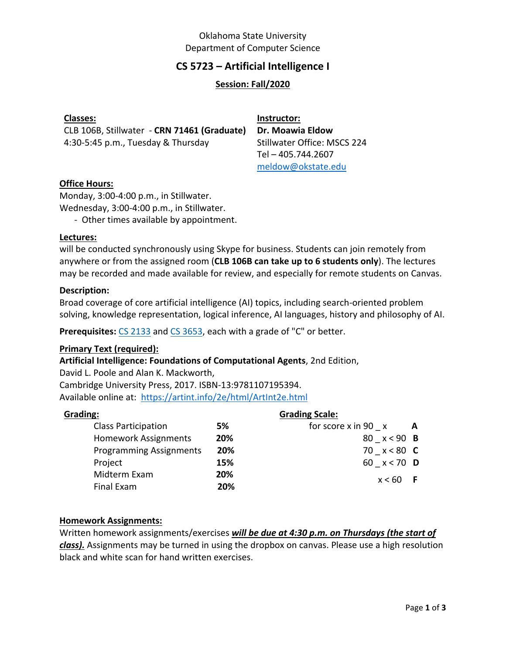# Oklahoma State University Department of Computer Science

# **CS 5723 – Artificial Intelligence I**

## **Session: Fall/2020**

CLB 106B, Stillwater - **CRN 71461 (Graduate)** 4:30-5:45 p.m., Tuesday & Thursday

**Instructor: Dr. Moawia Eldow** Stillwater Office: MSCS 224 Tel – 405.744.2607 [meldow@okstate.edu](mailto:meldow@okstate.edu)

## **Office Hours:**

Monday, 3:00-4:00 p.m., in Stillwater. Wednesday, 3:00-4:00 p.m., in Stillwater.

- Other times available by appointment.

#### **Lectures:**

will be conducted synchronously using Skype for business. Students can join remotely from anywhere or from the assigned room (**CLB 106B can take up to 6 students only**). The lectures may be recorded and made available for review, and especially for remote students on Canvas.

#### **Description:**

Broad coverage of core artificial intelligence (AI) topics, including search-oriented problem solving, knowledge representation, logical inference, AI languages, history and philosophy of AI.

**Prerequisites:** CS [2133](http://catalog.okstate.edu/search/?P=CS%202133) and CS [3653,](http://catalog.okstate.edu/search/?P=CS%203653) each with a grade of "C" or better.

### **Primary Text (required):**

**Artificial Intelligence: Foundations of Computational Agents**, 2nd Edition,

David L. Poole and Alan K. Mackworth, Cambridge University Press, 2017. ISBN-13:9781107195394. Available online at:<https://artint.info/2e/html/ArtInt2e.html>

#### **Grading:**

| 5%  |
|-----|
| 20% |
| 20% |
| 15% |
| 20% |
| 20% |
|     |

# **Grading Scale:**

| A | for score $x$ in 90 $x$ |
|---|-------------------------|
|   | 80 $x < 90$ B           |
|   | 70 $x < 80$ <b>C</b>    |
|   | 60 x < 70 <b>D</b>      |
|   | $x < 60$ F              |

### **Homework Assignments:**

Written homework assignments/exercises *will be due at 4:30 p.m. on Thursdays (the start of class).* Assignments may be turned in using the dropbox on canvas. Please use a high resolution black and white scan for hand written exercises.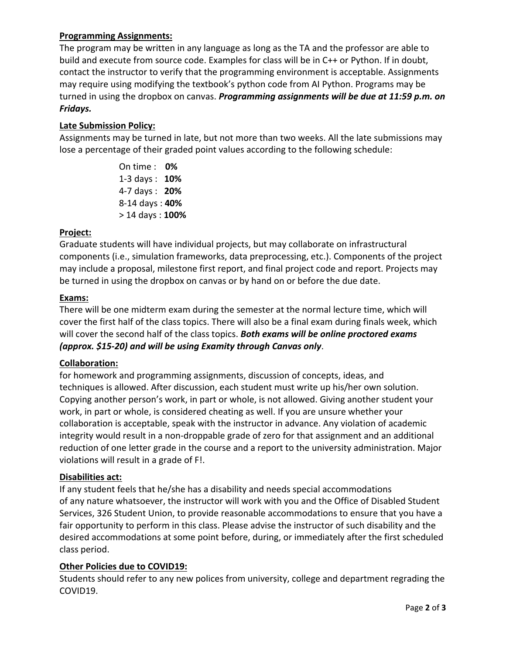# **Programming Assignments:**

The program may be written in any language as long as the TA and the professor are able to build and execute from source code. Examples for class will be in C++ or Python. If in doubt, contact the instructor to verify that the programming environment is acceptable. Assignments may require using modifying the textbook's python code from AI Python. Programs may be turned in using the dropbox on canvas. *Programming assignments will be due at 11:59 p.m. on Fridays.*

## **Late Submission Policy:**

Assignments may be turned in late, but not more than two weeks. All the late submissions may lose a percentage of their graded point values according to the following schedule:

> On time : **0%** 1-3 days : **10%** 4-7 days : **20%** 8-14 days : **40%** > 14 days : **100%**

## **Project:**

Graduate students will have individual projects, but may collaborate on infrastructural components (i.e., simulation frameworks, data preprocessing, etc.). Components of the project may include a proposal, milestone first report, and final project code and report. Projects may be turned in using the dropbox on canvas or by hand on or before the due date.

## **Exams:**

There will be one midterm exam during the semester at the normal lecture time, which will cover the first half of the class topics. There will also be a final exam during finals week, which will cover the second half of the class topics. *Both exams will be online proctored exams (approx. \$15-20) and will be using Examity through Canvas only*.

# **Collaboration:**

for homework and programming assignments, discussion of concepts, ideas, and techniques is allowed. After discussion, each student must write up his/her own solution. Copying another person's work, in part or whole, is not allowed. Giving another student your work, in part or whole, is considered cheating as well. If you are unsure whether your collaboration is acceptable, speak with the instructor in advance. Any violation of academic integrity would result in a non-droppable grade of zero for that assignment and an additional reduction of one letter grade in the course and a report to the university administration. Major violations will result in a grade of F!.

### **Disabilities act:**

If any student feels that he/she has a disability and needs special accommodations of any nature whatsoever, the instructor will work with you and the Office of Disabled Student Services, 326 Student Union, to provide reasonable accommodations to ensure that you have a fair opportunity to perform in this class. Please advise the instructor of such disability and the desired accommodations at some point before, during, or immediately after the first scheduled class period.

### **Other Policies due to COVID19:**

Students should refer to any new polices from university, college and department regrading the COVID19.